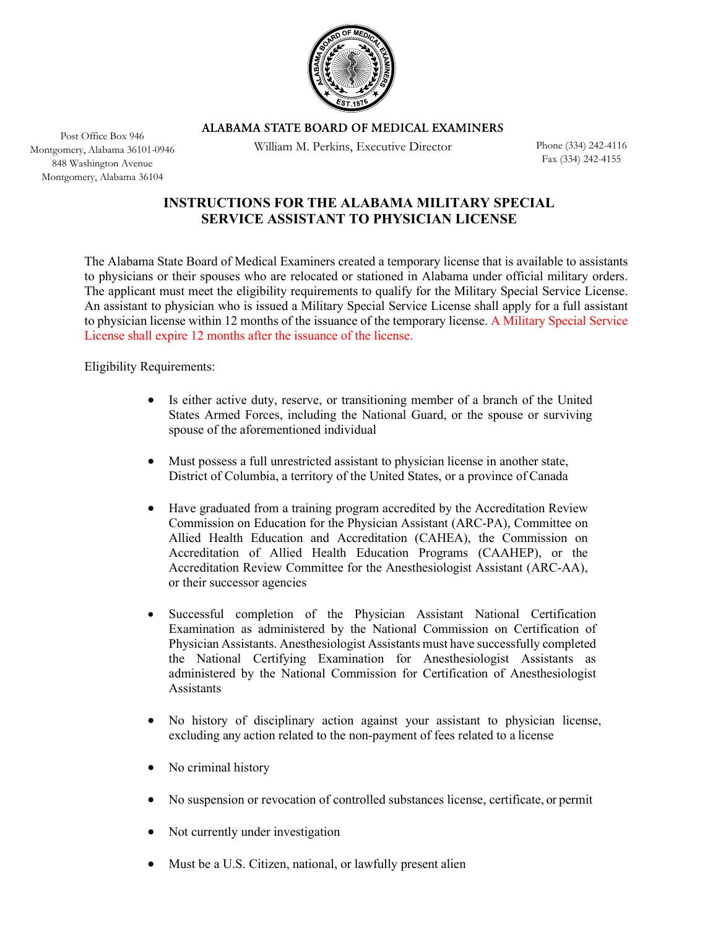

ALABAMA STATE BOARD OF MEDICAL EXAMINERS

William M. Perkins, Executive Director

Phone (334) 242-4116 Fax (334) 242-4155

# **INSTRUCTIONS FOR THE ALABAMA MILITARY SPECIAL SERVICE ASSISTANT TO PHYSICIAN LICENSE**

The Alabama State Board of Medical Examiners created a temporary license that is available to assistants to physicians or their spouses who are relocated or stationed in Alabama under official military orders. The applicant must meet the eligibility requirements to qualify for the Military Special Service License. An assistant to physician who is issued a Military Special Service License shall apply for a full assistant to physician license within 12 months of the issuance of the temporary license. A Military Special Service License shall expire 12 months after the issuance of the license.

Eligibility Requirements:

- Is either active duty, reserve, or transitioning member of a branch of the United States Armed Forces, including the National Guard, or the spouse or surviving spouse of the aforementioned individual
- Must possess a full unrestricted assistant to physician license in another state, District of Columbia, a territory of the United States, or a province of Canada
- Have graduated from a training program accredited by the Accreditation Review Commission on Education for the Physician Assistant (ARC-PA), Committee on Allied Health Education and Accreditation (CAHEA), the Commission on Accreditation of Allied Health Education Programs (CAAHEP), or the Accreditation Review Committee for the Anesthesiologist Assistant (ARC-AA), or their successor agencies
- Successful completion of the Physician Assistant National Certification Examination as administered by the National Commission on Certification of Physician Assistants. Anesthesiologist Assistants must have successfully completed the National Certifying Examination for Anesthesiologist Assistants as administered by the National Commission for Certification of Anesthesiologist Assistants
- No history of disciplinary action against your assistant to physician license, excluding any action related to the non-payment of fees related to a license
- No criminal history
- No suspension or revocation of controlled substances license, certificate, or permit
- Not currently under investigation
- Must be a U.S. Citizen, national, or lawfully present alien

Post Office Box 946 Montgomery, Alabama 36101-0946 848 Washington Avenue Montgomery, Alabama 36104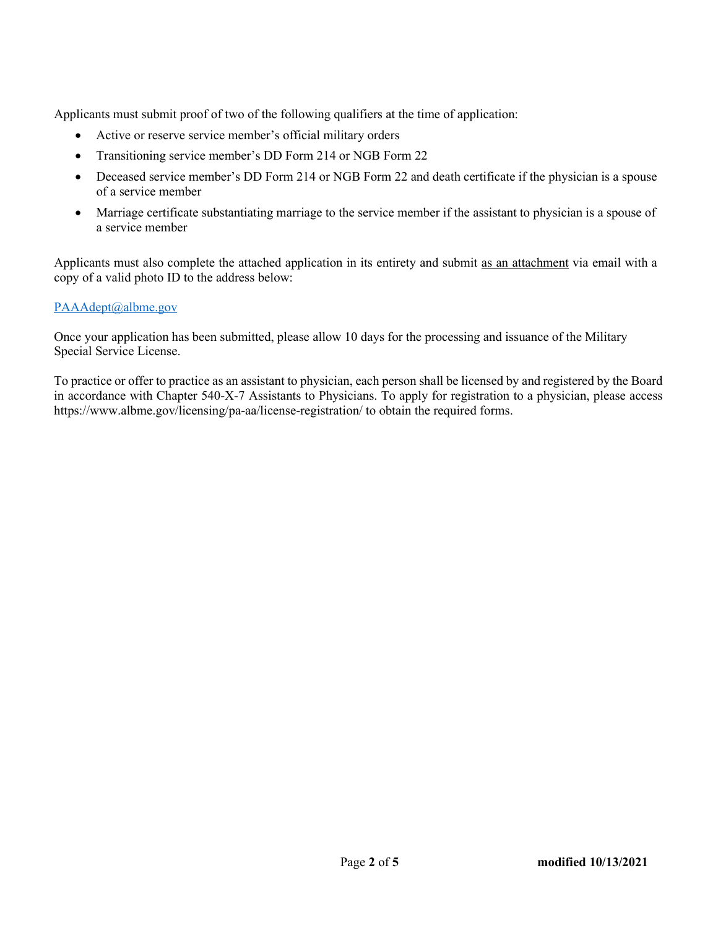Applicants must submit proof of two of the following qualifiers at the time of application:

- Active or reserve service member's official military orders
- Transitioning service member's DD Form 214 or NGB Form 22
- Deceased service member's DD Form 214 or NGB Form 22 and death certificate if the physician is a spouse of a service member
- Marriage certificate substantiating marriage to the service member if the assistant to physician is a spouse of a service member

Applicants must also complete the attached application in its entirety and submit as an attachment via email with a copy of a valid photo I[D to the address below:](mailto:credentialing@albme.org)

### PAAAdept@albme.gov

Once your application has been submitted, please allow 10 days for the processing and issuance of the Military Special Service License.

To practice or offer to practice as an assistant to physician, each person shall be licensed by and registered by the Board in accordance with Chapter 540-X-7 Assistants to Physicians. To apply for registration to a physician, please access https://www.albme.gov/licensing/pa-aa/license-registration/ to obtain the required forms.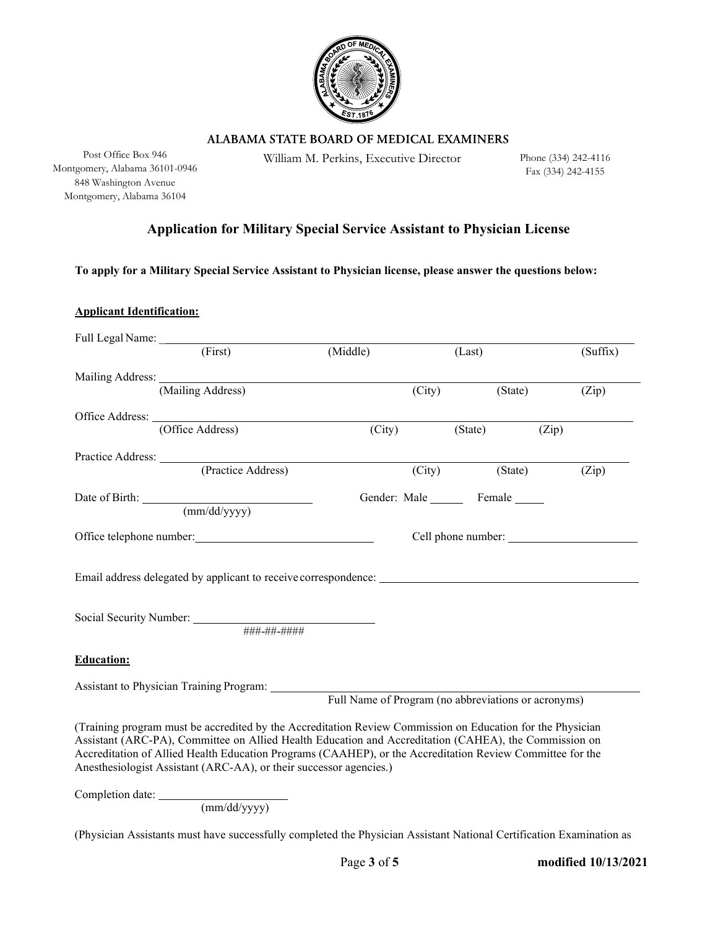

ALABAMA STATE BOARD OF MEDICAL EXAMINERS

Montgomery, Alabama 36101-0946 848 Washington Avenue Montgomery, Alabama 36104

Post Office Box 946 William M. Perkins, Executive Director

Phone (334) 242-4116 Fax (334) 242-4155

## **Application for Military Special Service Assistant to Physician License**

**To apply for a Military Special Service Assistant to Physician license, please answer the questions below:** 

**Applicant Identification:**

| (First)                                                                                                                                                                                                                        | (Middle) |        | (Last)                                              | (Suffix) |
|--------------------------------------------------------------------------------------------------------------------------------------------------------------------------------------------------------------------------------|----------|--------|-----------------------------------------------------|----------|
|                                                                                                                                                                                                                                |          |        |                                                     |          |
| (Mailing Address)                                                                                                                                                                                                              |          | (City) | (State)                                             | (Zip)    |
|                                                                                                                                                                                                                                |          |        |                                                     |          |
| (Office Address)                                                                                                                                                                                                               | (City)   |        | (State)                                             | (Zip)    |
|                                                                                                                                                                                                                                |          |        |                                                     |          |
| Practice Address: (Practice Address)                                                                                                                                                                                           |          | (City) | (State)                                             | (Zip)    |
|                                                                                                                                                                                                                                |          |        | Gender: Male Female                                 |          |
| Date of Birth: <u>(mm/dd/yyyy)</u>                                                                                                                                                                                             |          |        |                                                     |          |
| Office telephone number: example and the set of the set of the set of the set of the set of the set of the set of the set of the set of the set of the set of the set of the set of the set of the set of the set of the set o |          |        | Cell phone number:                                  |          |
|                                                                                                                                                                                                                                |          |        |                                                     |          |
| Email address delegated by applicant to receive correspondence:                                                                                                                                                                |          |        |                                                     |          |
|                                                                                                                                                                                                                                |          |        |                                                     |          |
|                                                                                                                                                                                                                                |          |        |                                                     |          |
| ###-##-####                                                                                                                                                                                                                    |          |        |                                                     |          |
| <b>Education:</b>                                                                                                                                                                                                              |          |        |                                                     |          |
|                                                                                                                                                                                                                                |          |        |                                                     |          |
|                                                                                                                                                                                                                                |          |        | Full Name of Program (no abbreviations or acronyms) |          |
|                                                                                                                                                                                                                                |          |        |                                                     |          |
| (Training program must be accredited by the Accreditation Review Commission on Education for the Physician                                                                                                                     |          |        |                                                     |          |
| Assistant (ARC-PA), Committee on Allied Health Education and Accreditation (CAHEA), the Commission on<br>Accreditation of Allied Health Education Programs (CAAHEP), or the Accreditation Review Committee for the             |          |        |                                                     |          |
| Anesthesiologist Assistant (ARC-AA), or their successor agencies.)                                                                                                                                                             |          |        |                                                     |          |

Completion date:

(mm/dd/yyyy)

(Physician Assistants must have successfully completed the Physician Assistant National Certification Examination as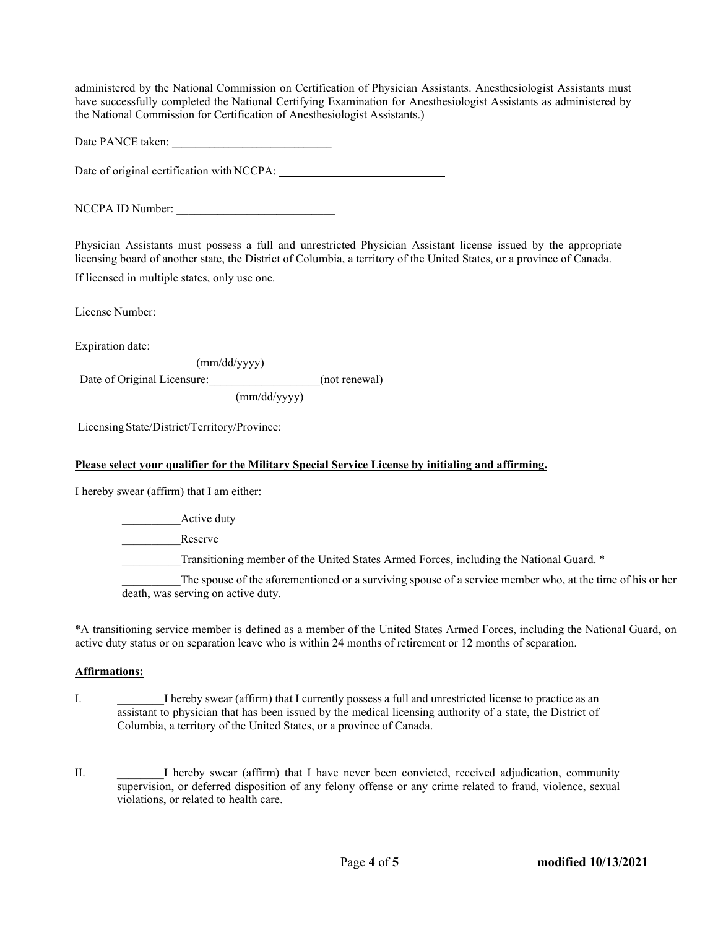administered by the National Commission on Certification of Physician Assistants. Anesthesiologist Assistants must have successfully completed the National Certifying Examination for Anesthesiologist Assistants as administered by the National Commission for Certification of Anesthesiologist Assistants.)

Date PANCE taken: \_\_\_\_\_\_\_\_\_\_\_\_\_\_\_\_\_\_\_\_\_\_\_\_\_\_\_\_\_\_\_\_\_\_

Date of original certification with NCCPA:

NCCPA ID Number:

Physician Assistants must possess a full and unrestricted Physician Assistant license issued by the appropriate licensing board of another state, the District of Columbia, a territory of the United States, or a province of Canada.

If licensed in multiple states, only use one.

License Number:

Expiration date:

(mm/dd/yyyy)

Date of Original Licensure: (not renewal)

(mm/dd/yyyy)

Licensing State/District/Territory/Province:

#### **Please select your qualifier for the Military Special Service License by initialing and affirming.**

I hereby swear (affirm) that I am either:

Active duty Reserve Transitioning member of the United States Armed Forces, including the National Guard. \* The spouse of the aforementioned or a surviving spouse of a service member who, at the time of his or her death, was serving on active duty.

\*A transitioning service member is defined as a member of the United States Armed Forces, including the National Guard, on active duty status or on separation leave who is within 24 months of retirement or 12 months of separation.

#### **Affirmations:**

- I. I hereby swear (affirm) that I currently possess a full and unrestricted license to practice as an assistant to physician that has been issued by the medical licensing authority of a state, the District of Columbia, a territory of the United States, or a province of Canada.
- II. \_\_\_\_\_\_\_\_I hereby swear (affirm) that I have never been convicted, received adjudication, community supervision, or deferred disposition of any felony offense or any crime related to fraud, violence, sexual violations, or related to health care.